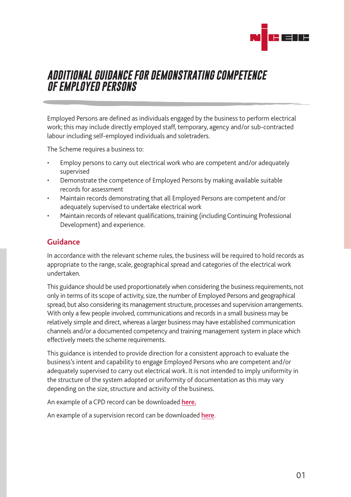

## *ADDITIONAL GUIDANCE FOR DEMONSTRATING COMPETENCE OF EMPLOYED PERSONS*

Employed Persons are defined as individuals engaged by the business to perform electrical work; this may include directly employed staff, temporary, agency and/or sub-contracted labour including self-employed individuals and soletraders.

The Scheme requires a business to:

- Employ persons to carry out electrical work who are competent and/or adequately supervised
- Demonstrate the competence of Employed Persons by making available suitable records for assessment
- Maintain records demonstrating that all Employed Persons are competent and/or adequately supervised to undertake electrical work
- Maintain records of relevant qualifications, training (including Continuing Professional Development) and experience.

## **Guidance**

In accordance with the relevant scheme rules, the business will be required to hold records as appropriate to the range, scale, geographical spread and categories of the electrical work undertaken.

This guidance should be used proportionately when considering the business requirements, not only in terms of its scope of activity, size, the number of Employed Persons and geographical spread, but also considering its management structure, processes and supervision arrangements. With only a few people involved, communications and records in a small business may be relatively simple and direct, whereas a larger business may have established communication channels and/or a documented competency and training management system in place which effectively meets the scheme requirements.

This guidance is intended to provide direction for a consistent approach to evaluate the business's intent and capability to engage Employed Persons who are competent and/or adequately supervised to carry out electrical work. It is not intended to imply uniformity in the structure of the system adopted or uniformity of documentation as this may vary depending on the size, structure and activity of the business.

An example of a CPD record can be downloaded [here](http://www.niceic.com/medialib/www.niceic.com/PDF-s/CPD-Record-1-1-June-22.pdf)**.**

An example of a supervision record can be downloaded [here](http://www.niceic.com/medialib/www.niceic.com/PDF-s/Supervision-Record.pdf).